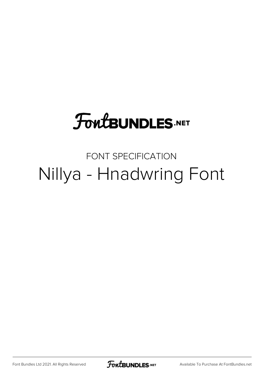# **FoutBUNDLES.NET**

### FONT SPECIFICATION Nillya - Hnadwring Font

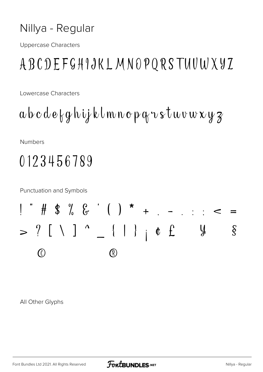#### Nillya - Regular

**Uppercase Characters** 

### ABCDEFGHIJKLMNOPQRSTUUWXYZ

Lowercase Characters

 $a b c d e \nmid q h \nmid j k l m n o p q u s t w v w x y z$ 

Numbers

## 0123456789

**Punctuation and Symbols** 

$$
\begin{array}{cccccccc}\n1 & \text{# } & \text{# } & \text{# } & \text{# } & \text{# } & \text{# } & \text{# } & \text{# } & \text{# } & \text{# } & \text{# } & \text{# } & \text{# } & \text{# } & \text{# } & \text{# } & \text{# } & \text{# } & \text{# } & \text{# } & \text{# } & \text{# } & \text{# } & \text{# } & \text{# } & \text{# } & \text{# } & \text{# } & \text{# } & \text{# } & \text{# } & \text{# } & \text{# } & \text{# } & \text{# } & \text{# } & \text{# } & \text{# } & \text{# } & \text{# } & \text{# } & \text{# } & \text{# } & \text{# } & \text{# } & \text{# } & \text{# } & \text{# } & \text{# } & \text{# } & \text{# } & \text{# } & \text{# } & \text{# } & \text{# } & \text{# } & \text{# } & \text{# } & \text{# } & \text{# } & \text{# } & \text{# } & \text{# } & \text{# } & \text{# } & \text{# } & \text{# } & \text{# } & \text{# } & \text{# } & \text{# } & \text{# } & \text{# } & \text{# } & \text{# } & \text{# } & \text{# } & \text{# } & \text{# } & \text{# } & \text{# } & \text{# } & \text{# } & \text{# } & \text{# } & \text{# } & \text{# } & \text{# } & \text{# } & \text{# } & \text{# } & \text{# } & \text{# } & \text{# } & \text{# } & \text{# } & \text{# } & \text{# } & \text{# } & \text{# } & \text{# } & \text{# } & \text{# } & \text{# } & \text{# } & \text{# } & \text{# } & \text{# } & \text{# } & \text{# } & \text{# } & \text{# } & \text{# } & \text{# } & \text{# } & \text{# } & \text{# } & \text{# } & \text{# } & \text{# } & \text{# } & \text{# } & \text{# } & \text{# } & \text{# }
$$

All Other Glyphs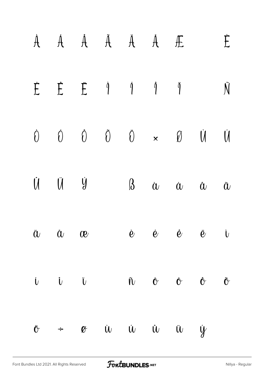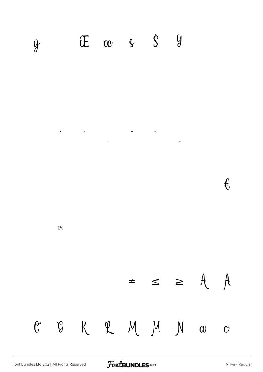

€

 $\overline{\phantom{a}}$ 

**TM** 

 $\neq$   $\leq$   $\geq$   $\uparrow$   $\uparrow$ C G K L M M N  $\omega$  $\mathbf{C}$ 

FontBUNDLES.NET